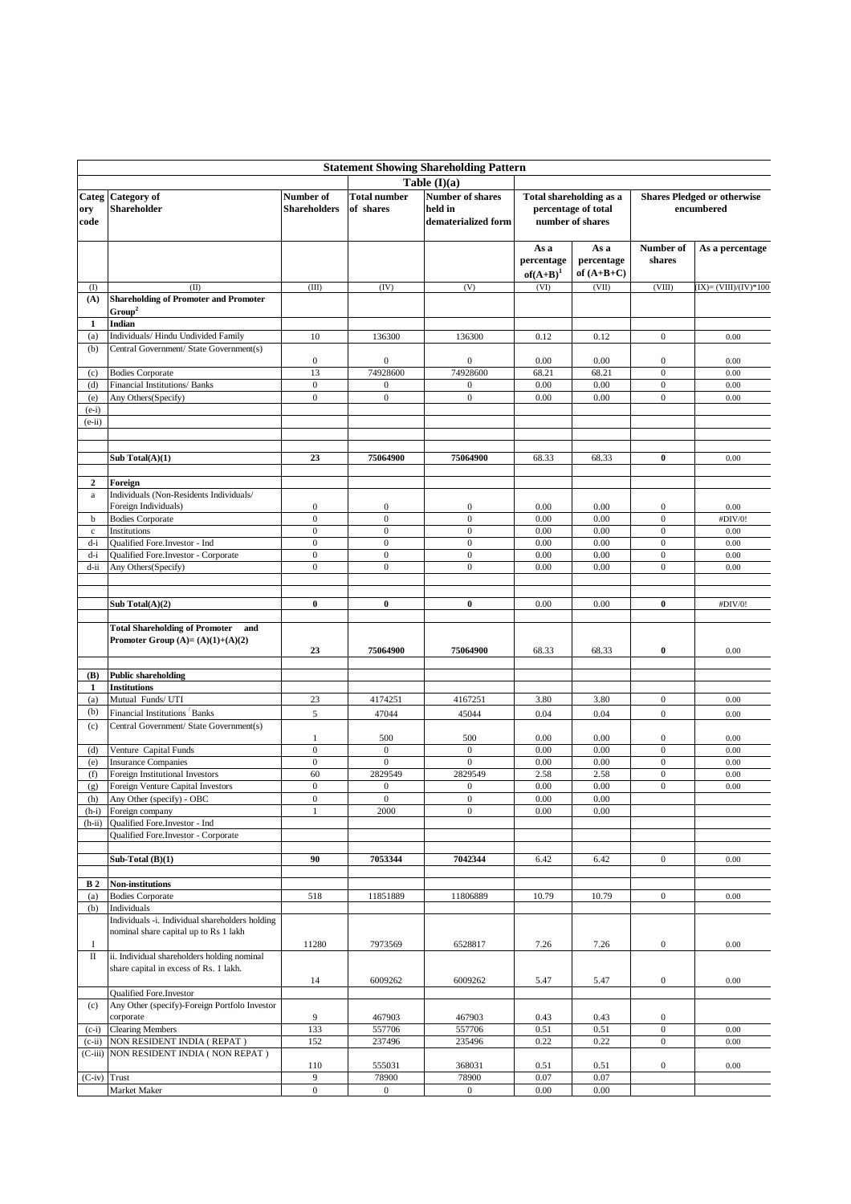| <b>Statement Showing Shareholding Pattern</b> |                                                                      |                                  |                                                |                                      |                                         |                                |                                      |                                    |  |  |
|-----------------------------------------------|----------------------------------------------------------------------|----------------------------------|------------------------------------------------|--------------------------------------|-----------------------------------------|--------------------------------|--------------------------------------|------------------------------------|--|--|
| Table $(I)(a)$                                |                                                                      |                                  |                                                |                                      |                                         |                                |                                      |                                    |  |  |
|                                               | Categ Category of                                                    | Number of                        | <b>Total number</b><br><b>Number of shares</b> |                                      |                                         | <b>Total shareholding as a</b> |                                      | <b>Shares Pledged or otherwise</b> |  |  |
| ory                                           | Shareholder                                                          | Shareholders                     | of shares                                      | held in                              | percentage of total<br>number of shares |                                | encumbered                           |                                    |  |  |
| code                                          |                                                                      |                                  |                                                | dematerialized form                  |                                         |                                |                                      |                                    |  |  |
|                                               |                                                                      |                                  |                                                |                                      |                                         |                                |                                      |                                    |  |  |
|                                               |                                                                      |                                  |                                                |                                      | As a                                    | As a                           | Number of                            | As a percentage                    |  |  |
|                                               |                                                                      |                                  |                                                |                                      | percentage                              | percentage<br>of $(A+B+C)$     | shares                               |                                    |  |  |
| $($ $($ $)$                                   | (II)                                                                 | (III)                            | (IV)                                           | (V)                                  | $of(A+B)^{1}$<br>(VI)                   | (VII)                          | (VIII)                               | $(IX) = (VIII)/(IV)*100$           |  |  |
| (A)                                           | <b>Shareholding of Promoter and Promoter</b>                         |                                  |                                                |                                      |                                         |                                |                                      |                                    |  |  |
|                                               | Group <sup>2</sup>                                                   |                                  |                                                |                                      |                                         |                                |                                      |                                    |  |  |
| $\mathbf{1}$                                  | Indian                                                               |                                  |                                                |                                      |                                         |                                |                                      |                                    |  |  |
| (a)                                           | Individuals/ Hindu Undivided Family                                  | 10                               | 136300                                         | 136300                               | 0.12                                    | 0.12                           | $\boldsymbol{0}$                     | 0.00                               |  |  |
| (b)                                           | Central Government/ State Government(s)                              | $\mathbf{0}$                     | $\boldsymbol{0}$                               | $\boldsymbol{0}$                     | 0.00                                    |                                | $\boldsymbol{0}$                     |                                    |  |  |
| (c)                                           | <b>Bodies Corporate</b>                                              | 13                               | 74928600                                       | 74928600                             | 68.21                                   | 0.00<br>68.21                  | $\boldsymbol{0}$                     | 0.00<br>0.00                       |  |  |
| (d)                                           | Financial Institutions/ Banks                                        | $\boldsymbol{0}$                 | $\mathbf{0}$                                   | $\boldsymbol{0}$                     | 0.00                                    | 0.00                           | $\boldsymbol{0}$                     | 0.00                               |  |  |
| (e)                                           | Any Others(Specify)                                                  | $\mathbf{0}$                     | $\boldsymbol{0}$                               | $\boldsymbol{0}$                     | 0.00                                    | 0.00                           | $\boldsymbol{0}$                     | 0.00                               |  |  |
| $(e-i)$                                       |                                                                      |                                  |                                                |                                      |                                         |                                |                                      |                                    |  |  |
| $(e-ii)$                                      |                                                                      |                                  |                                                |                                      |                                         |                                |                                      |                                    |  |  |
|                                               |                                                                      |                                  |                                                |                                      |                                         |                                |                                      |                                    |  |  |
|                                               | Sub Total(A)(1)                                                      | 23                               | 75064900                                       | 75064900                             | 68.33                                   | 68.33                          | $\bf{0}$                             | 0.00                               |  |  |
|                                               |                                                                      |                                  |                                                |                                      |                                         |                                |                                      |                                    |  |  |
| $\mathbf{2}$                                  | Foreign                                                              |                                  |                                                |                                      |                                         |                                |                                      |                                    |  |  |
| $\mathbf{a}$                                  | Individuals (Non-Residents Individuals/                              |                                  |                                                |                                      |                                         |                                |                                      |                                    |  |  |
| b                                             | Foreign Individuals)<br><b>Bodies Corporate</b>                      | $\boldsymbol{0}$<br>$\mathbf{0}$ | $\boldsymbol{0}$<br>$\boldsymbol{0}$           | $\boldsymbol{0}$<br>$\boldsymbol{0}$ | 0.00<br>0.00                            | 0.00<br>0.00                   | $\boldsymbol{0}$<br>$\boldsymbol{0}$ | 0.00<br>#DIV/0!                    |  |  |
| $\mathbf c$                                   | Institutions                                                         | $\mathbf{0}$                     | $\mathbf{0}$                                   | $\boldsymbol{0}$                     | 0.00                                    | 0.00                           | $\boldsymbol{0}$                     | 0.00                               |  |  |
| d-i                                           | Qualified Fore. Investor - Ind                                       | $\mathbf{0}$                     | $\boldsymbol{0}$                               | $\boldsymbol{0}$                     | 0.00                                    | 0.00                           | $\boldsymbol{0}$                     | 0.00                               |  |  |
| d-i                                           | Qualified Fore.Investor - Corporate                                  | $\mathbf{0}$                     | $\boldsymbol{0}$                               | $\boldsymbol{0}$                     | 0.00                                    | 0.00                           | $\boldsymbol{0}$                     | 0.00                               |  |  |
| d-ii                                          | Any Others(Specify)                                                  | $\overline{0}$                   | $\boldsymbol{0}$                               | $\boldsymbol{0}$                     | 0.00                                    | 0.00                           | $\boldsymbol{0}$                     | 0.00                               |  |  |
|                                               |                                                                      |                                  |                                                |                                      |                                         |                                |                                      |                                    |  |  |
|                                               | Sub Total(A)(2)                                                      | $\bf{0}$                         | $\bf{0}$                                       | $\bf{0}$                             | 0.00                                    | 0.00                           | $\bf{0}$                             | #DIV/0!                            |  |  |
|                                               |                                                                      |                                  |                                                |                                      |                                         |                                |                                      |                                    |  |  |
|                                               | <b>Total Shareholding of Promoter</b><br>and                         |                                  |                                                |                                      |                                         |                                |                                      |                                    |  |  |
|                                               | Promoter Group $(A)=(A)(1)+(A)(2)$                                   |                                  |                                                |                                      |                                         |                                |                                      |                                    |  |  |
|                                               |                                                                      | 23                               | 75064900                                       | 75064900                             | 68.33                                   | 68.33                          | $\bf{0}$                             | 0.00                               |  |  |
| (B)                                           | <b>Public shareholding</b>                                           |                                  |                                                |                                      |                                         |                                |                                      |                                    |  |  |
| 1                                             | <b>Institutions</b>                                                  |                                  |                                                |                                      |                                         |                                |                                      |                                    |  |  |
| (a)                                           | Mutual Funds/ UTI                                                    | 23                               | 4174251                                        | 4167251                              | 3.80                                    | 3.80                           | $\boldsymbol{0}$                     | 0.00                               |  |  |
| (b)                                           | Financial Institutions Banks                                         | 5                                | 47044                                          | 45044                                | 0.04                                    | 0.04                           | $\boldsymbol{0}$                     | 0.00                               |  |  |
| (c)                                           | Central Government/ State Government(s)                              |                                  |                                                |                                      |                                         |                                |                                      |                                    |  |  |
|                                               |                                                                      | 1                                | 500                                            | 500                                  | 0.00                                    | 0.00                           | $\boldsymbol{0}$                     | 0.00                               |  |  |
| (d)<br>(e)                                    | Venture Capital Funds<br><b>Insurance Companies</b>                  | $\mathbf{0}$<br>$\mathbf{0}$     | $\mathbf{0}$<br>$\boldsymbol{0}$               | $\boldsymbol{0}$<br>$\boldsymbol{0}$ | 0.00<br>0.00                            | 0.00<br>0.00                   | $\boldsymbol{0}$<br>$\boldsymbol{0}$ | 0.00<br>0.00                       |  |  |
| (f)                                           | Foreign Institutional Investors                                      | 60                               | 2829549                                        | 2829549                              | 2.58                                    | 2.58                           | $\boldsymbol{0}$                     | 0.00                               |  |  |
| (g)                                           | Foreign Venture Capital Investors                                    | $\overline{0}$                   | $\boldsymbol{0}$                               | $\boldsymbol{0}$                     | 0.00                                    | 0.00                           | $\overline{0}$                       | 0.00                               |  |  |
| (h)                                           | Any Other (specify) - OBC                                            | $\boldsymbol{0}$                 | $\boldsymbol{0}$                               | $\boldsymbol{0}$                     | $0.00\,$                                | $0.00\,$                       |                                      |                                    |  |  |
| $(h-i)$                                       | Foreign company                                                      | $\mathbf{1}$                     | 2000                                           | $\mathbf{0}$                         | 0.00                                    | 0.00                           |                                      |                                    |  |  |
| $(h-ii)$                                      | Qualified Fore.Investor - Ind<br>Qualified Fore.Investor - Corporate |                                  |                                                |                                      |                                         |                                |                                      |                                    |  |  |
|                                               |                                                                      |                                  |                                                |                                      |                                         |                                |                                      |                                    |  |  |
|                                               | Sub-Total $(B)(1)$                                                   | 90                               | 7053344                                        | 7042344                              | 6.42                                    | 6.42                           | $\boldsymbol{0}$                     | 0.00                               |  |  |
|                                               |                                                                      |                                  |                                                |                                      |                                         |                                |                                      |                                    |  |  |
| <b>B2</b>                                     | Non-institutions                                                     |                                  |                                                |                                      |                                         |                                |                                      |                                    |  |  |
| (a)<br>(b)                                    | <b>Bodies Corporate</b><br>Individuals                               | 518                              | 11851889                                       | 11806889                             | 10.79                                   | 10.79                          | $\boldsymbol{0}$                     | 0.00                               |  |  |
|                                               | Individuals -i. Individual shareholders holding                      |                                  |                                                |                                      |                                         |                                |                                      |                                    |  |  |
|                                               | nominal share capital up to Rs 1 lakh                                |                                  |                                                |                                      |                                         |                                |                                      |                                    |  |  |
| <b>I</b>                                      |                                                                      | 11280                            | 7973569                                        | 6528817                              | 7.26                                    | 7.26                           | $\boldsymbol{0}$                     | 0.00                               |  |  |
| П                                             | ii. Individual shareholders holding nominal                          |                                  |                                                |                                      |                                         |                                |                                      |                                    |  |  |
|                                               | share capital in excess of Rs. 1 lakh.                               |                                  |                                                |                                      |                                         |                                |                                      |                                    |  |  |
|                                               | Qualified Fore. Investor                                             | 14                               | 6009262                                        | 6009262                              | 5.47                                    | 5.47                           | $\boldsymbol{0}$                     | 0.00                               |  |  |
| (c)                                           | Any Other (specify)-Foreign Portfolo Investor                        |                                  |                                                |                                      |                                         |                                |                                      |                                    |  |  |
|                                               | corporate                                                            | 9                                | 467903                                         | 467903                               | 0.43                                    | 0.43                           | $\boldsymbol{0}$                     |                                    |  |  |
| $(c-i)$                                       | <b>Clearing Members</b>                                              | 133                              | 557706                                         | 557706                               | 0.51                                    | 0.51                           | $\boldsymbol{0}$                     | 0.00                               |  |  |
| $(c-ii)$                                      | NON RESIDENT INDIA (REPAT)                                           | 152                              | 237496                                         | 235496                               | 0.22                                    | 0.22                           | $\boldsymbol{0}$                     | 0.00                               |  |  |
|                                               | (C-iii) NON RESIDENT INDIA (NON REPAT)                               | 110                              | 555031                                         | 368031                               | 0.51                                    | 0.51                           | $\boldsymbol{0}$                     | 0.00                               |  |  |
| $(C-iv)$                                      | Trust                                                                | 9                                | 78900                                          | 78900                                | 0.07                                    | 0.07                           |                                      |                                    |  |  |
|                                               | Market Maker                                                         | $\boldsymbol{0}$                 | $\boldsymbol{0}$                               | $\boldsymbol{0}$                     | 0.00                                    | 0.00                           |                                      |                                    |  |  |
|                                               |                                                                      |                                  |                                                |                                      |                                         |                                |                                      |                                    |  |  |